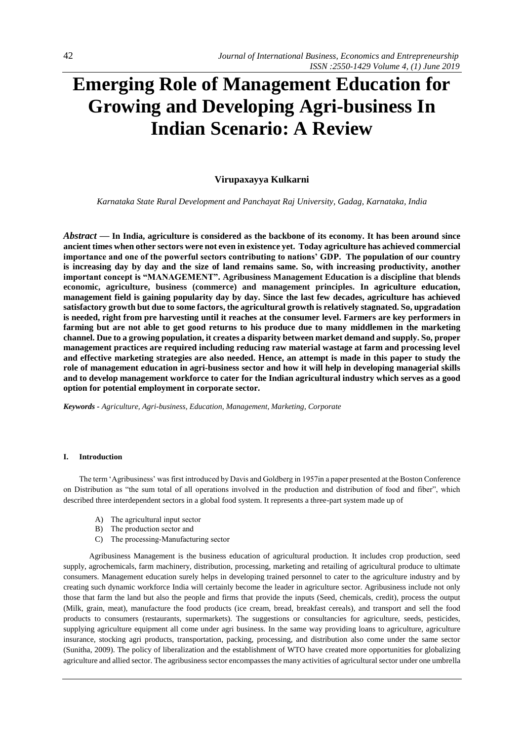# **Emerging Role of Management Education for Growing and Developing Agri-business In Indian Scenario: A Review**

# **Virupaxayya Kulkarni**

*Karnataka State Rural Development and Panchayat Raj University, Gadag, Karnataka, India*

*Abstract* **— In India, agriculture is considered as the backbone of its economy. It has been around since ancient times when other sectors were not even in existence yet. Today agriculture has achieved commercial importance and one of the powerful sectors contributing to nations' GDP. The population of our country is increasing day by day and the size of land remains same. So, with increasing productivity, another important concept is "MANAGEMENT". Agribusiness Management Education is a discipline that blends economic, agriculture, business (commerce) and management principles. In agriculture education, management field is gaining popularity day by day. Since the last few decades, agriculture has achieved satisfactory growth but due to some factors, the agricultural growth is relatively stagnated. So, upgradation is needed, right from pre harvesting until it reaches at the consumer level. Farmers are key performers in farming but are not able to get good returns to his produce due to many middlemen in the marketing channel. Due to a growing population, it creates a disparity between market demand and supply. So, proper management practices are required including reducing raw material wastage at farm and processing level and effective marketing strategies are also needed. Hence, an attempt is made in this paper to study the role of management education in agri-business sector and how it will help in developing managerial skills and to develop management workforce to cater for the Indian agricultural industry which serves as a good option for potential employment in corporate sector.**

*Keywords - Agriculture, Agri-business, Education, Management, Marketing, Corporate*

# **I. Introduction**

The term 'Agribusiness' was first introduced by Davis and Goldberg in 1957in a paper presented at the Boston Conference on Distribution as "the sum total of all operations involved in the production and distribution of food and fiber", which described three interdependent sectors in a global food system. It represents a three-part system made up of

- A) The agricultural input sector
- B) The production sector and
- C) The processing-Manufacturing sector

 Agribusiness Management is the business education of agricultural production. It includes crop production, seed supply, agrochemicals, farm machinery, distribution, processing, marketing and retailing of agricultural produce to ultimate consumers. Management education surely helps in developing trained personnel to cater to the agriculture industry and by creating such dynamic workforce India will certainly become the leader in agriculture sector. Agribusiness include not only those that farm the land but also the people and firms that provide the inputs (Seed, chemicals, credit), process the output (Milk, grain, meat), manufacture the food products (ice cream, bread, breakfast cereals), and transport and sell the food products to consumers (restaurants, supermarkets). The suggestions or consultancies for agriculture, seeds, pesticides, supplying agriculture equipment all come under agri business. In the same way providing loans to agriculture, agriculture insurance, stocking agri products, transportation, packing, processing, and distribution also come under the same sector (Sunitha, 2009). The policy of liberalization and the establishment of WTO have created more opportunities for globalizing agriculture and allied sector. The agribusiness sector encompasses the many activities of agricultural sector under one umbrella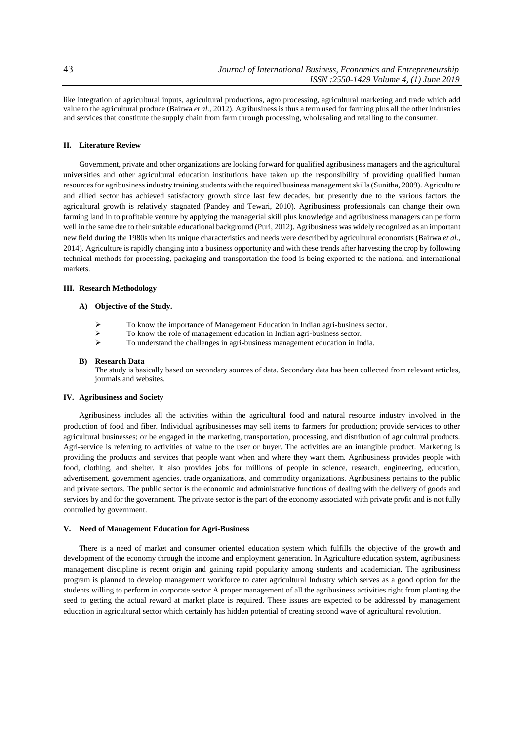like integration of agricultural inputs, agricultural productions, agro processing, agricultural marketing and trade which add value to the agricultural produce (Bairwa *et al.,* 2012). Agribusiness is thus a term used for farming plus all the other industries and services that constitute the supply chain from farm through processing, wholesaling and retailing to the consumer.

# **II. Literature Review**

Government, private and other organizations are looking forward for qualified agribusiness managers and the agricultural universities and other agricultural education institutions have taken up the responsibility of providing qualified human resources for agribusiness industry training students with the required business management skills (Sunitha, 2009). Agriculture and allied sector has achieved satisfactory growth since last few decades, but presently due to the various factors the agricultural growth is relatively stagnated (Pandey and Tewari, 2010). Agribusiness professionals can change their own farming land in to profitable venture by applying the managerial skill plus knowledge and agribusiness managers can perform well in the same due to their suitable educational background (Puri, 2012). Agribusiness was widely recognized as an important new field during the 1980s when its unique characteristics and needs were described by agricultural economists (Bairwa *et al.,*  2014). Agriculture is rapidly changing into a business opportunity and with these trends after harvesting the crop by following technical methods for processing, packaging and transportation the food is being exported to the national and international markets.

#### **III. Research Methodology**

# **A) Objective of the Study.**

- $\triangleright$  To know the importance of Management Education in Indian agri-business sector.<br> $\triangleright$  To know the role of management education in Indian agri-business sector.
- $\triangleright$  To know the role of management education in Indian agri-business sector.<br>
To understand the challenges in agri-business management education in Indian
- ➢ To understand the challenges in agri-business management education in India.

#### **B) Research Data**

The study is basically based on secondary sources of data. Secondary data has been collected from relevant articles, journals and websites.

### **IV. Agribusiness and Society**

Agribusiness includes all the activities within the agricultural food and natural resource industry involved in the production of food and fiber. Individual agribusinesses may sell items to farmers for production; provide services to other agricultural businesses; or be engaged in the marketing, transportation, processing, and distribution of agricultural products. Agri-service is referring to activities of value to the user or buyer. The activities are an intangible product. Marketing is providing the products and services that people want when and where they want them. Agribusiness provides people with food, clothing, and shelter. It also provides jobs for millions of people in science, research, engineering, education, advertisement, government agencies, trade organizations, and commodity organizations. Agribusiness pertains to the public and private sectors. The public sector is the economic and administrative functions of dealing with the delivery of goods and services by and for the government. The private sector is the part of the economy associated with private profit and is not fully controlled by government.

#### **V. Need of Management Education for Agri-Business**

There is a need of market and consumer oriented education system which fulfills the objective of the growth and development of the economy through the income and employment generation. In Agriculture education system, agribusiness management discipline is recent origin and gaining rapid popularity among students and academician. The agribusiness program is planned to develop management workforce to cater agricultural Industry which serves as a good option for the students willing to perform in corporate sector A proper management of all the agribusiness activities right from planting the seed to getting the actual reward at market place is required. These issues are expected to be addressed by management education in agricultural sector which certainly has hidden potential of creating second wave of agricultural revolution.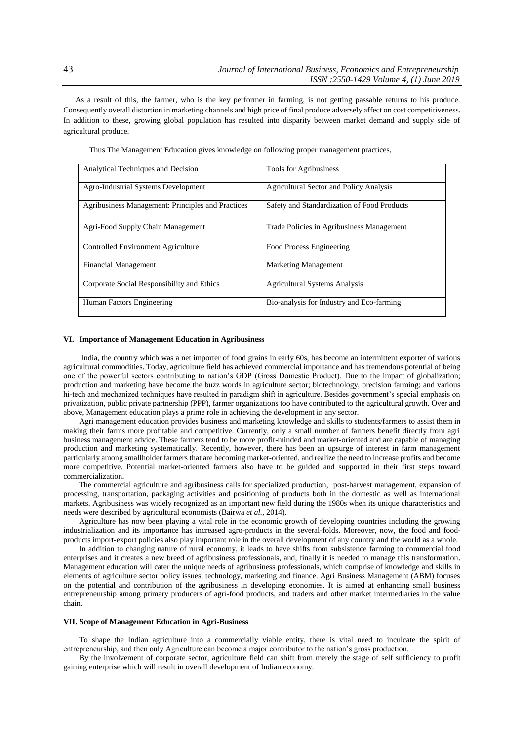As a result of this, the farmer, who is the key performer in farming, is not getting passable returns to his produce. Consequently overall distortion in marketing channels and high price of final produce adversely affect on cost competitiveness. In addition to these, growing global population has resulted into disparity between market demand and supply side of agricultural produce.

| Analytical Techniques and Decision                | <b>Tools for Agribusiness</b>                  |
|---------------------------------------------------|------------------------------------------------|
| Agro-Industrial Systems Development               | <b>Agricultural Sector and Policy Analysis</b> |
| Agribusiness Management: Principles and Practices | Safety and Standardization of Food Products    |
| Agri-Food Supply Chain Management                 | Trade Policies in Agribusiness Management      |
| Controlled Environment Agriculture                | Food Process Engineering                       |
| <b>Financial Management</b>                       | <b>Marketing Management</b>                    |
| Corporate Social Responsibility and Ethics        | <b>Agricultural Systems Analysis</b>           |
| Human Factors Engineering                         | Bio-analysis for Industry and Eco-farming      |

Thus The Management Education gives knowledge on following proper management practices,

#### **VI. Importance of Management Education in Agribusiness**

India, the country which was a net importer of food grains in early 60s, has become an intermittent exporter of various agricultural commodities. Today, agriculture field has achieved commercial importance and has tremendous potential of being one of the powerful sectors contributing to nation's GDP (Gross Domestic Product). Due to the impact of globalization; production and marketing have become the buzz words in agriculture sector; biotechnology, precision farming; and various hi-tech and mechanized techniques have resulted in paradigm shift in agriculture. Besides government's special emphasis on privatization, public private partnership (PPP), farmer organizations too have contributed to the agricultural growth. Over and above, Management education plays a prime role in achieving the development in any sector.

 Agri management education provides business and marketing knowledge and skills to students/farmers to assist them in making their farms more profitable and competitive. Currently, only a small number of farmers benefit directly from agri business management advice. These farmers tend to be more profit-minded and market-oriented and are capable of managing production and marketing systematically. Recently, however, there has been an upsurge of interest in farm management particularly among smallholder farmers that are becoming market-oriented, and realize the need to increase profits and become more competitive. Potential market-oriented farmers also have to be guided and supported in their first steps toward commercialization.

The commercial agriculture and agribusiness calls for specialized production, post-harvest management, expansion of processing, transportation, packaging activities and positioning of products both in the domestic as well as international markets. Agribusiness was widely recognized as an important new field during the 1980s when its unique characteristics and needs were described by agricultural economists (Bairwa *et al.,* 2014).

Agriculture has now been playing a vital role in the economic growth of developing countries including the growing industrialization and its importance has increased agro-products in the several-folds. Moreover, now, the food and foodproducts import-export policies also play important role in the overall development of any country and the world as a whole.

In addition to changing nature of rural economy, it leads to have shifts from subsistence farming to commercial food enterprises and it creates a new breed of agribusiness professionals, and, finally it is needed to manage this transformation. Management education will cater the unique needs of agribusiness professionals, which comprise of knowledge and skills in elements of agriculture sector policy issues, technology, marketing and finance. Agri Business Management (ABM) focuses on the potential and contribution of the agribusiness in developing economies. It is aimed at enhancing small business entrepreneurship among primary producers of agri-food products, and traders and other market intermediaries in the value chain.

#### **VII. Scope of Management Education in Agri-Business**

To shape the Indian agriculture into a commercially viable entity, there is vital need to inculcate the spirit of entrepreneurship, and then only Agriculture can become a major contributor to the nation's gross production.

 By the involvement of corporate sector, agriculture field can shift from merely the stage of self sufficiency to profit gaining enterprise which will result in overall development of Indian economy.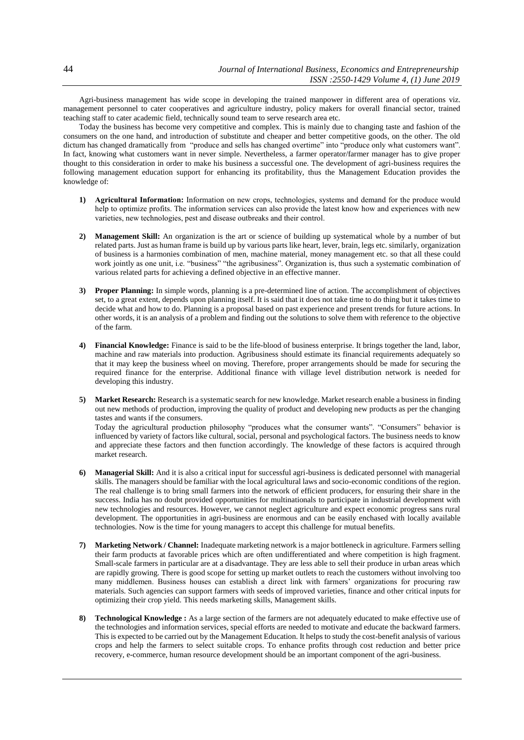Agri-business management has wide scope in developing the trained manpower in different area of operations viz. management personnel to cater cooperatives and agriculture industry, policy makers for overall financial sector, trained teaching staff to cater academic field, technically sound team to serve research area etc.

Today the business has become very competitive and complex. This is mainly due to changing taste and fashion of the consumers on the one hand, and introduction of substitute and cheaper and better competitive goods, on the other. The old dictum has changed dramatically from "produce and sells has changed overtime" into "produce only what customers want". In fact, knowing what customers want in never simple. Nevertheless, a farmer operator/farmer manager has to give proper thought to this consideration in order to make his business a successful one. The development of agri-business requires the following management education support for enhancing its profitability, thus the Management Education provides the knowledge of:

- **1) Agricultural Information:** Information on new crops, technologies, systems and demand for the produce would help to optimize profits. The information services can also provide the latest know how and experiences with new varieties, new technologies, pest and disease outbreaks and their control.
- **2) Management Skill:** An organization is the art or science of building up systematical whole by a number of but related parts. Just as human frame is build up by various parts like heart, lever, brain, legs etc. similarly, organization of business is a harmonies combination of men, machine material, money management etc. so that all these could work jointly as one unit, i.e. "business" "the agribusiness". Organization is, thus such a systematic combination of various related parts for achieving a defined objective in an effective manner.
- **3) Proper Planning:** In simple words, planning is a pre-determined line of action. The accomplishment of objectives set, to a great extent, depends upon planning itself. It is said that it does not take time to do thing but it takes time to decide what and how to do. Planning is a proposal based on past experience and present trends for future actions. In other words, it is an analysis of a problem and finding out the solutions to solve them with reference to the objective of the farm.
- **4) Financial Knowledge:** Finance is said to be the life-blood of business enterprise. It brings together the land, labor, machine and raw materials into production. Agribusiness should estimate its financial requirements adequately so that it may keep the business wheel on moving. Therefore, proper arrangements should be made for securing the required finance for the enterprise. Additional finance with village level distribution network is needed for developing this industry.
- **5) Market Research:** Research is a systematic search for new knowledge. Market research enable a business in finding out new methods of production, improving the quality of product and developing new products as per the changing tastes and wants if the consumers. Today the agricultural production philosophy "produces what the consumer wants". "Consumers" behavior is influenced by variety of factors like cultural, social, personal and psychological factors. The business needs to know and appreciate these factors and then function accordingly. The knowledge of these factors is acquired through
- **6) Managerial Skill:** And it is also a critical input for successful agri-business is dedicated personnel with managerial skills. The managers should be familiar with the local agricultural laws and socio-economic conditions of the region. The real challenge is to bring small farmers into the network of efficient producers, for ensuring their share in the success. India has no doubt provided opportunities for multinationals to participate in industrial development with new technologies and resources. However, we cannot neglect agriculture and expect economic progress sans rural development. The opportunities in agri-business are enormous and can be easily enchased with locally available technologies. Now is the time for young managers to accept this challenge for mutual benefits.
- **7) Marketing Network / Channel:** Inadequate marketing network is a major bottleneck in agriculture. Farmers selling their farm products at favorable prices which are often undifferentiated and where competition is high fragment. Small-scale farmers in particular are at a disadvantage. They are less able to sell their produce in urban areas which are rapidly growing. There is good scope for setting up market outlets to reach the customers without involving too many middlemen. Business houses can establish a direct link with farmers' organizations for procuring raw materials. Such agencies can support farmers with seeds of improved varieties, finance and other critical inputs for optimizing their crop yield. This needs marketing skills, Management skills.
- **8) Technological Knowledge :** As a large section of the farmers are not adequately educated to make effective use of the technologies and information services, special efforts are needed to motivate and educate the backward farmers. This is expected to be carried out by the Management Education. It helps to study the cost-benefit analysis of various crops and help the farmers to select suitable crops. To enhance profits through cost reduction and better price recovery, e-commerce, human resource development should be an important component of the agri-business.

market research.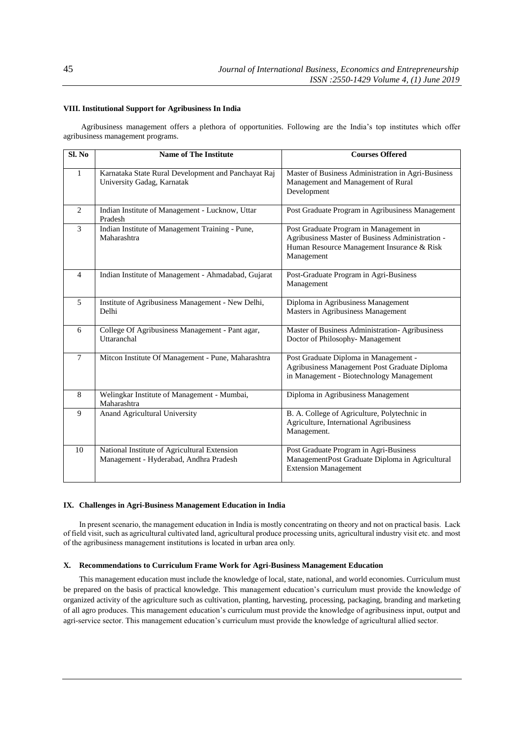#### **VIII. Institutional Support for Agribusiness In India**

Agribusiness management offers a plethora of opportunities. Following are the India's top institutes which offer agribusiness management programs.

| Sl. No       | <b>Name of The Institute</b>                                                           | <b>Courses Offered</b>                                                                                                                                 |
|--------------|----------------------------------------------------------------------------------------|--------------------------------------------------------------------------------------------------------------------------------------------------------|
| $\mathbf{1}$ | Karnataka State Rural Development and Panchayat Raj<br>University Gadag, Karnatak      | Master of Business Administration in Agri-Business<br>Management and Management of Rural<br>Development                                                |
| 2            | Indian Institute of Management - Lucknow, Uttar<br>Pradesh                             | Post Graduate Program in Agribusiness Management                                                                                                       |
| 3            | Indian Institute of Management Training - Pune,<br>Maharashtra                         | Post Graduate Program in Management in<br>Agribusiness Master of Business Administration -<br>Human Resource Management Insurance & Risk<br>Management |
| 4            | Indian Institute of Management - Ahmadabad, Gujarat                                    | Post-Graduate Program in Agri-Business<br>Management                                                                                                   |
| 5            | Institute of Agribusiness Management - New Delhi,<br>Delhi                             | Diploma in Agribusiness Management<br>Masters in Agribusiness Management                                                                               |
| 6            | College Of Agribusiness Management - Pant agar,<br>Uttaranchal                         | Master of Business Administration- Agribusiness<br>Doctor of Philosophy- Management                                                                    |
| 7            | Mitcon Institute Of Management - Pune, Maharashtra                                     | Post Graduate Diploma in Management -<br>Agribusiness Management Post Graduate Diploma<br>in Management - Biotechnology Management                     |
| 8            | Welingkar Institute of Management - Mumbai,<br>Maharashtra                             | Diploma in Agribusiness Management                                                                                                                     |
| 9            | Anand Agricultural University                                                          | B. A. College of Agriculture, Polytechnic in<br>Agriculture, International Agribusiness<br>Management.                                                 |
| 10           | National Institute of Agricultural Extension<br>Management - Hyderabad, Andhra Pradesh | Post Graduate Program in Agri-Business<br>ManagementPost Graduate Diploma in Agricultural<br><b>Extension Management</b>                               |

#### **IX. Challenges in Agri-Business Management Education in India**

In present scenario, the management education in India is mostly concentrating on theory and not on practical basis. Lack of field visit, such as agricultural cultivated land, agricultural produce processing units, agricultural industry visit etc. and most of the agribusiness management institutions is located in urban area only.

# **X. Recommendations to Curriculum Frame Work for Agri-Business Management Education**

This management education must include the knowledge of local, state, national, and world economies. Curriculum must be prepared on the basis of practical knowledge. This management education's curriculum must provide the knowledge of organized activity of the agriculture such as cultivation, planting, harvesting, processing, packaging, branding and marketing of all agro produces. This management education's curriculum must provide the knowledge of agribusiness input, output and agri-service sector. This management education's curriculum must provide the knowledge of agricultural allied sector.